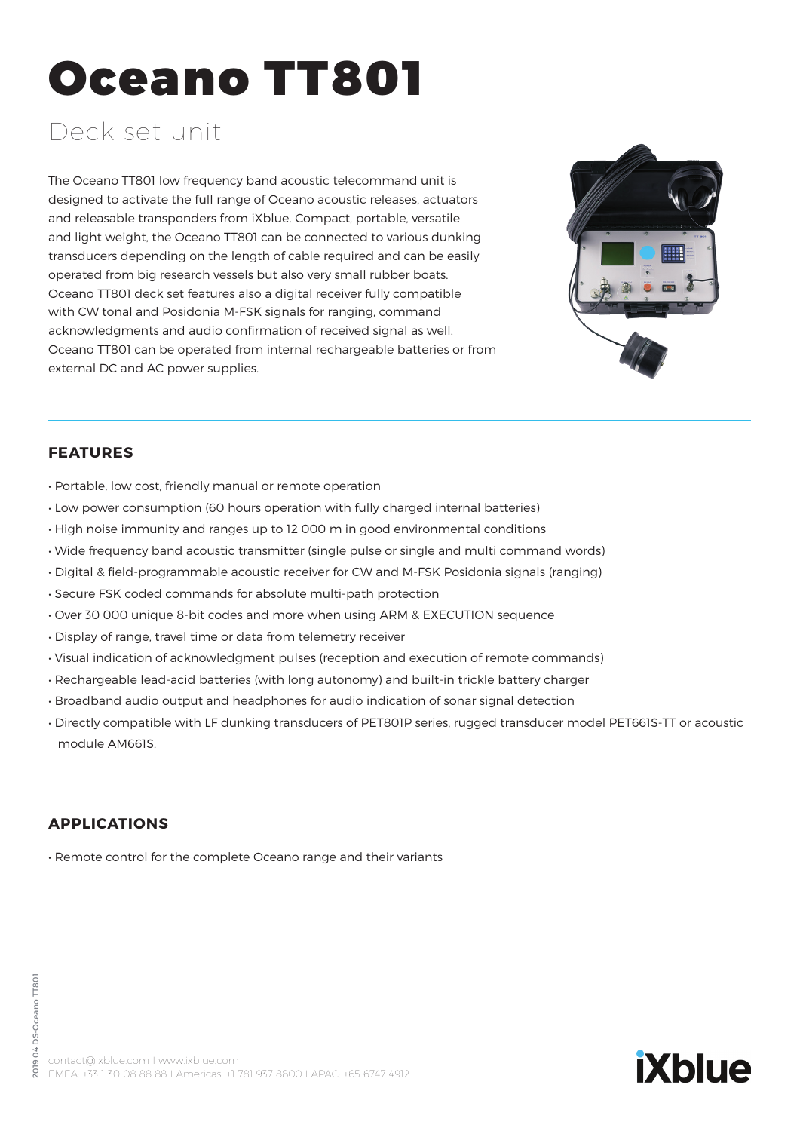# Oceano TT801

# Deck set unit

The Oceano TT801 low frequency band acoustic telecommand unit is designed to activate the full range of Oceano acoustic releases, actuators and releasable transponders from iXblue. Compact, portable, versatile and light weight, the Oceano TT801 can be connected to various dunking transducers depending on the length of cable required and can be easily operated from big research vessels but also very small rubber boats. Oceano TT801 deck set features also a digital receiver fully compatible with CW tonal and Posidonia M-FSK signals for ranging, command acknowledgments and audio confirmation of received signal as well. Oceano TT801 can be operated from internal rechargeable batteries or from external DC and AC power supplies.



**iXblue** 

## **FEATURES**

- Portable, low cost, friendly manual or remote operation
- Low power consumption (60 hours operation with fully charged internal batteries)
- High noise immunity and ranges up to 12 000 m in good environmental conditions
- Wide frequency band acoustic transmitter (single pulse or single and multi command words)
- Digital & field-programmable acoustic receiver for CW and M-FSK Posidonia signals (ranging)
- Secure FSK coded commands for absolute multi-path protection
- Over 30 000 unique 8-bit codes and more when using ARM & EXECUTION sequence
- Display of range, travel time or data from telemetry receiver
- Visual indication of acknowledgment pulses (reception and execution of remote commands)
- Rechargeable lead-acid batteries (with long autonomy) and built-in trickle battery charger
- Broadband audio output and headphones for audio indication of sonar signal detection
- Directly compatible with LF dunking transducers of PET801P series, rugged transducer model PET661S-TT or acoustic module AM661S.

#### **APPLICATIONS**

• Remote control for the complete Oceano range and their variants